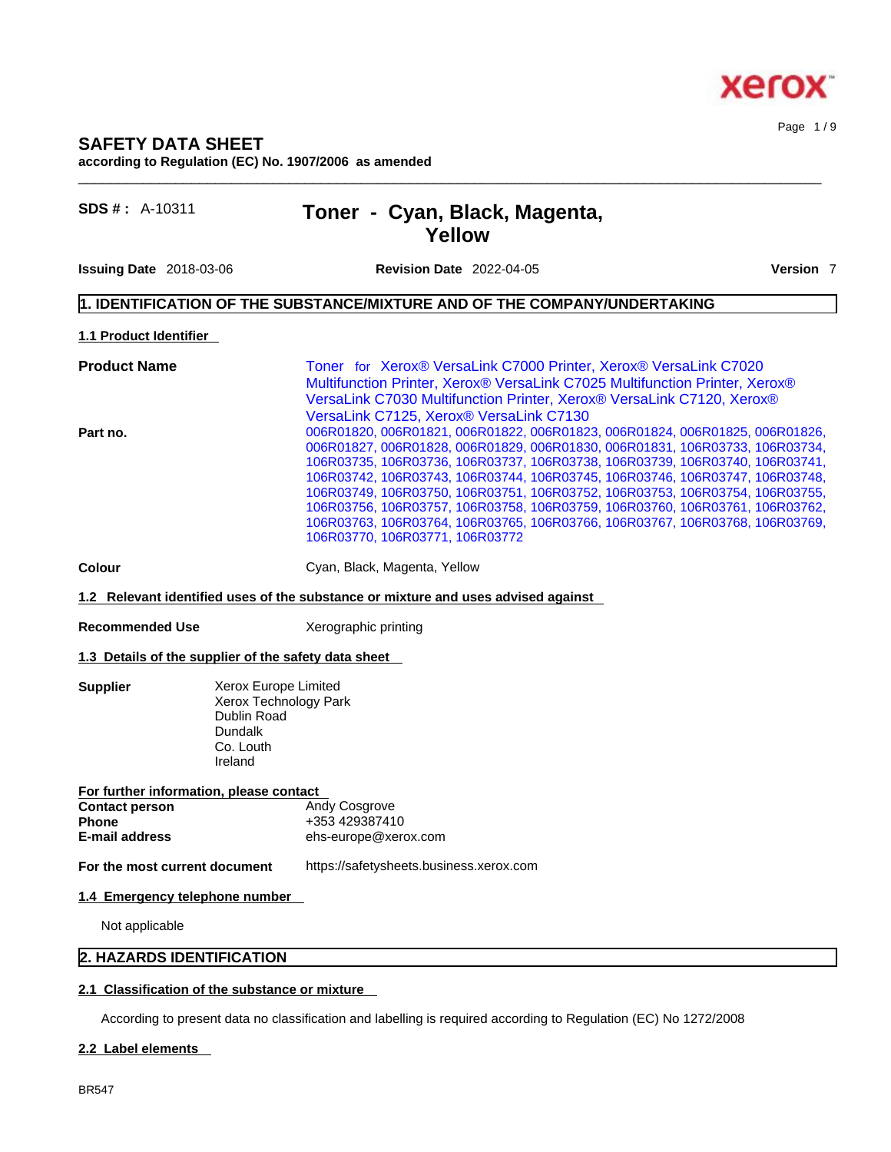#### Page 1 / 9

# **SAFETY DATA SHEET according to Regulation (EC) No. 1907/2006 as amended**

| Toner - Cyan, Black, Magenta, |  |
|-------------------------------|--|
| Yellow                        |  |

**Issuing Date** 2018-03-06 **Revision Date** 2022-04-05 **Version** 7

**SDS # : A-10311** 

 $\_$  ,  $\_$  ,  $\_$  ,  $\_$  ,  $\_$  ,  $\_$  ,  $\_$  ,  $\_$  ,  $\_$  ,  $\_$  ,  $\_$  ,  $\_$  ,  $\_$  ,  $\_$  ,  $\_$  ,  $\_$  ,  $\_$  ,  $\_$  ,  $\_$  ,  $\_$  ,  $\_$  ,  $\_$  ,  $\_$  ,  $\_$  ,  $\_$  ,  $\_$  ,  $\_$  ,  $\_$  ,  $\_$  ,  $\_$  ,  $\_$  ,  $\_$  ,  $\_$  ,  $\_$  ,  $\_$  ,  $\_$  ,  $\_$  ,

# **1. IDENTIFICATION OF THE SUBSTANCE/MIXTURE AND OF THE COMPANY/UNDERTAKING**

**1.1 Product Identifier** 

| <b>Product Name</b> | Toner for Xerox® VersaLink C7000 Printer, Xerox® VersaLink C7020             |
|---------------------|------------------------------------------------------------------------------|
|                     | Multifunction Printer, Xerox® VersaLink C7025 Multifunction Printer, Xerox®  |
|                     | VersaLink C7030 Multifunction Printer, Xerox® VersaLink C7120, Xerox®        |
|                     | VersaLink C7125, Xerox® VersaLink C7130                                      |
| Part no.            | 006R01820, 006R01821, 006R01822, 006R01823, 006R01824, 006R01825, 006R01826, |
|                     | 006R01827, 006R01828, 006R01829, 006R01830, 006R01831, 106R03733, 106R03734, |
|                     | 106R03735, 106R03736, 106R03737, 106R03738, 106R03739, 106R03740, 106R03741, |
|                     | 106R03742, 106R03743, 106R03744, 106R03745, 106R03746, 106R03747, 106R03748, |
|                     | 106R03749, 106R03750, 106R03751, 106R03752, 106R03753, 106R03754, 106R03755, |
|                     | 106R03756, 106R03757, 106R03758, 106R03759, 106R03760, 106R03761, 106R03762, |
|                     | 106R03763, 106R03764, 106R03765, 106R03766, 106R03767, 106R03768, 106R03769, |
|                     | 106R03770, 106R03771, 106R03772                                              |

**Colour Cyan, Black, Magenta, Yellow** 

**1.2 Relevant identified uses of the substance or mixture and uses advised against**

**Recommended Use** Xerographic printing

#### **1.3 Details of the supplier of the safety data sheet**

**Supplier Xerox Europe Limited** Xerox Technology Park Dublin Road Dundalk Co. Louth Ireland

#### **For further information, please contact Contact person Phone**  $+353\,429387410$ **E-mail address** ehs-europe@xerox.com

**For the most current document** https://safetysheets.business.xerox.com

# **1.4 Emergency telephone number**

Not applicable

# **2. HAZARDS IDENTIFICATION**

#### **2.1 Classification of the substance or mixture**

According to present data no classification and labelling is required according to Regulation (EC) No 1272/2008

## **2.2 Label elements**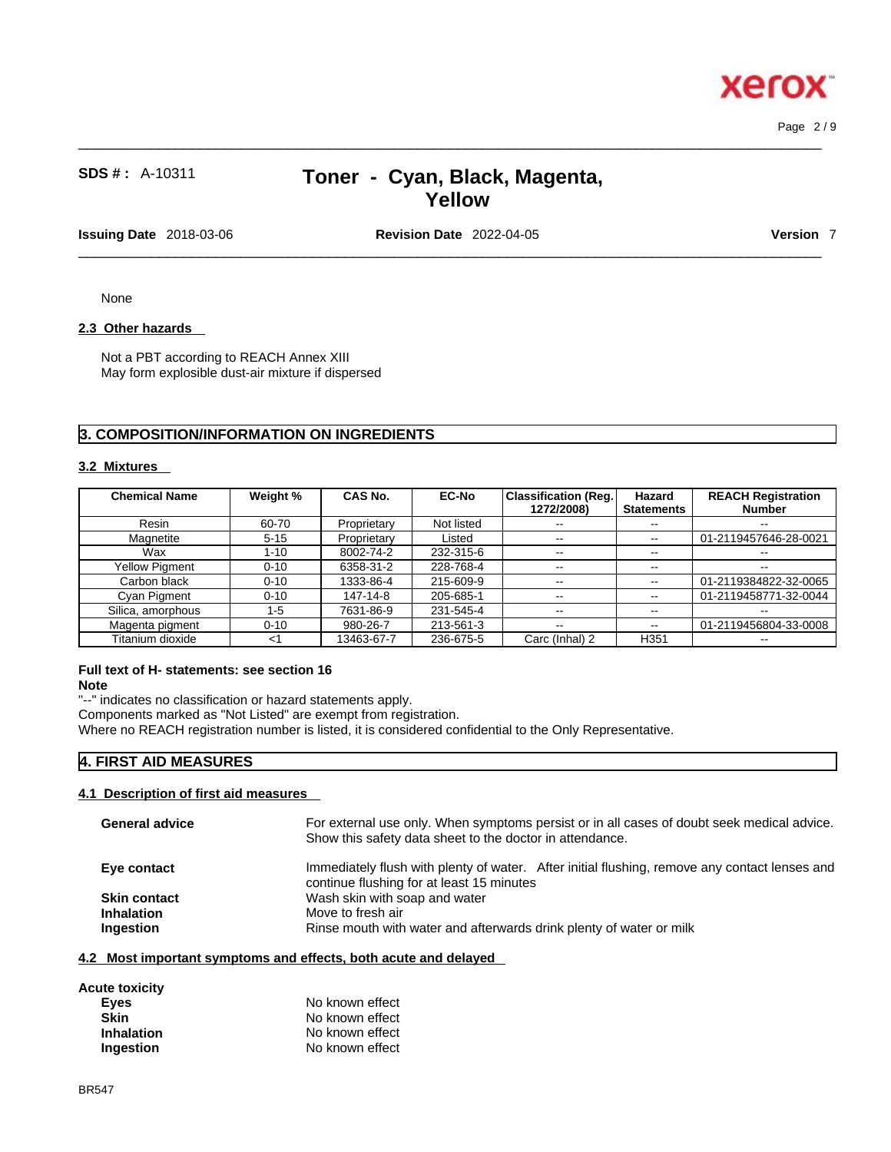Page 2 / 9

# **SDS # :** A-10311 **Toner - Cyan, Black, Magenta, Yellow**

 $\_$  ,  $\_$  ,  $\_$  ,  $\_$  ,  $\_$  ,  $\_$  ,  $\_$  ,  $\_$  ,  $\_$  ,  $\_$  ,  $\_$  ,  $\_$  ,  $\_$  ,  $\_$  ,  $\_$  ,  $\_$  ,  $\_$  ,  $\_$  ,  $\_$  ,  $\_$  ,  $\_$  ,  $\_$  ,  $\_$  ,  $\_$  ,  $\_$  ,  $\_$  ,  $\_$  ,  $\_$  ,  $\_$  ,  $\_$  ,  $\_$  ,  $\_$  ,  $\_$  ,  $\_$  ,  $\_$  ,  $\_$  ,  $\_$  ,

**Issuing Date** 2018-03-06 **Revision Date** 2022-04-05 **Version** 7

 $\_$  ,  $\_$  ,  $\_$  ,  $\_$  ,  $\_$  ,  $\_$  ,  $\_$  ,  $\_$  ,  $\_$  ,  $\_$  ,  $\_$  ,  $\_$  ,  $\_$  ,  $\_$  ,  $\_$  ,  $\_$  ,  $\_$  ,  $\_$  ,  $\_$  ,  $\_$  ,  $\_$  ,  $\_$  ,  $\_$  ,  $\_$  ,  $\_$  ,  $\_$  ,  $\_$  ,  $\_$  ,  $\_$  ,  $\_$  ,  $\_$  ,  $\_$  ,  $\_$  ,  $\_$  ,  $\_$  ,  $\_$  ,  $\_$  ,

None

# **2.3 Other hazards**

Not a PBT according to REACH Annex XIII May form explosible dust-air mixture if dispersed

# **3. COMPOSITION/INFORMATION ON INGREDIENTS**

#### **3.2 Mixtures**

| <b>Chemical Name</b>  | Weight % | <b>CAS No.</b> | <b>EC-No</b> | <b>Classification (Reg.</b> | Hazard            | <b>REACH Registration</b> |
|-----------------------|----------|----------------|--------------|-----------------------------|-------------------|---------------------------|
|                       |          |                |              | 1272/2008)                  | <b>Statements</b> | <b>Number</b>             |
| Resin                 | 60-70    | Proprietary    | Not listed   | $- -$                       | $\sim$ $\sim$     | $\sim$ $\sim$             |
| Magnetite             | $5 - 15$ | Proprietary    | Listed       | $\sim$ $\sim$               | $\sim$            | 01-2119457646-28-0021     |
| Wax                   | $1 - 10$ | 8002-74-2      | 232-315-6    | $- -$                       | $\sim$ $\sim$     | $- -$                     |
| <b>Yellow Pigment</b> | $0 - 10$ | 6358-31-2      | 228-768-4    | $- -$                       | $\sim$ $\sim$     | $- -$                     |
| Carbon black          | $0 - 10$ | 1333-86-4      | 215-609-9    | $\sim$ $\sim$               | $\sim$ $\sim$     | 01-2119384822-32-0065     |
| Cyan Pigment          | $0 - 10$ | 147-14-8       | 205-685-1    | $- -$                       | $\sim$ $\sim$     | 01-2119458771-32-0044     |
| Silica, amorphous     | $1 - 5$  | 7631-86-9      | 231-545-4    | $\overline{\phantom{a}}$    | $\sim$ $\sim$     | $\overline{\phantom{a}}$  |
| Magenta pigment       | $0 - 10$ | 980-26-7       | 213-561-3    | $- -$                       | $\sim$ $\sim$     | 01-2119456804-33-0008     |
| Titanium dioxide      | ا>       | 13463-67-7     | 236-675-5    | Carc (Inhal) 2              | H <sub>351</sub>  | $- -$                     |

# **Full text of H- statements: see section 16**

**Note**

"--" indicates no classification or hazard statements apply.

Components marked as "Not Listed" are exempt from registration.

Where no REACH registration number is listed, it is considered confidential to the Only Representative.

# **4. FIRST AID MEASURES**

#### **4.1 Description of first aid measures**

| <b>General advice</b> | For external use only. When symptoms persist or in all cases of doubt seek medical advice.<br>Show this safety data sheet to the doctor in attendance. |
|-----------------------|--------------------------------------------------------------------------------------------------------------------------------------------------------|
| Eye contact           | Immediately flush with plenty of water. After initial flushing, remove any contact lenses and<br>continue flushing for at least 15 minutes             |
| <b>Skin contact</b>   | Wash skin with soap and water                                                                                                                          |
| <b>Inhalation</b>     | Move to fresh air                                                                                                                                      |
| Ingestion             | Rinse mouth with water and afterwards drink plenty of water or milk                                                                                    |
|                       |                                                                                                                                                        |

# **4.2 Most important symptoms and effects, both acute and delayed**

| Acute toxicity    |                 |
|-------------------|-----------------|
| Eyes              | No known effect |
| <b>Skin</b>       | No known effect |
| <b>Inhalation</b> | No known effect |
| Ingestion         | No known effect |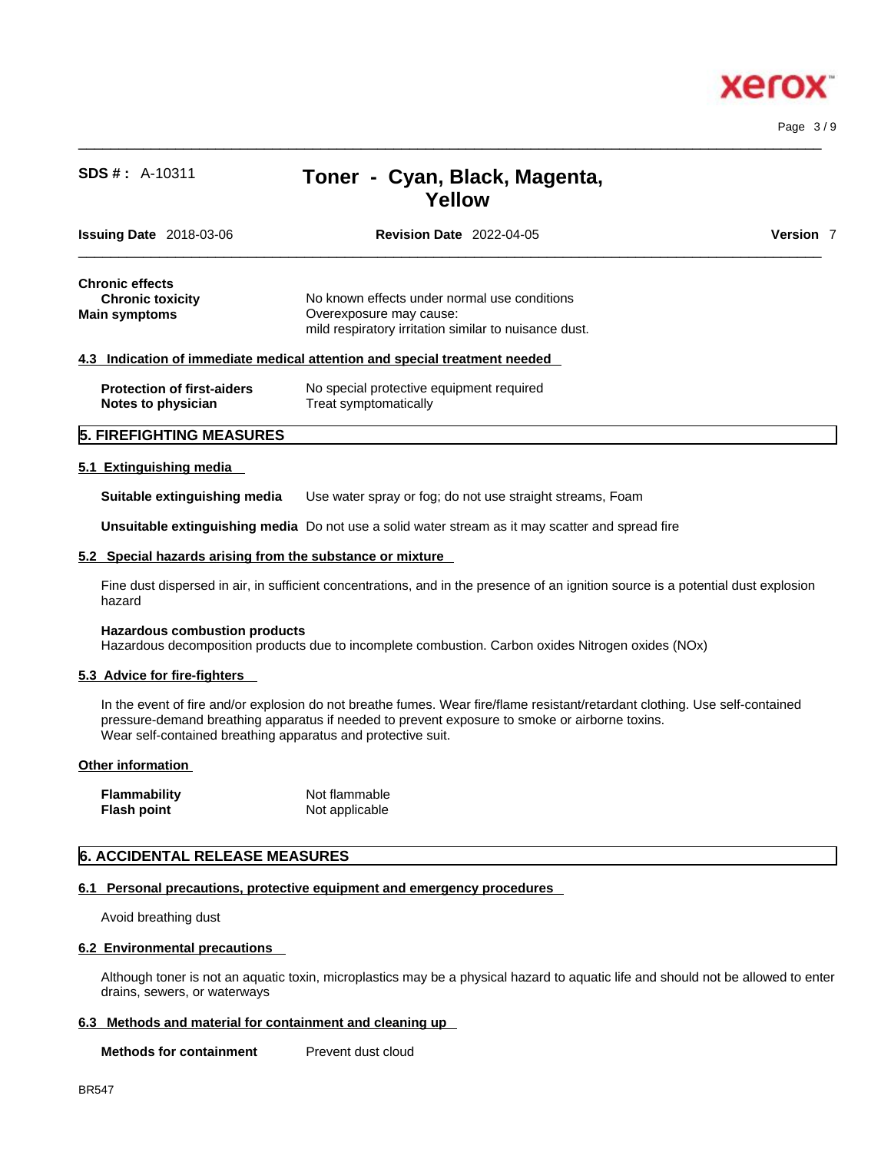

Page 3 / 9

# **SDS # :** A-10311 **Toner - Cyan, Black, Magenta, Yellow**

 $\_$  ,  $\_$  ,  $\_$  ,  $\_$  ,  $\_$  ,  $\_$  ,  $\_$  ,  $\_$  ,  $\_$  ,  $\_$  ,  $\_$  ,  $\_$  ,  $\_$  ,  $\_$  ,  $\_$  ,  $\_$  ,  $\_$  ,  $\_$  ,  $\_$  ,  $\_$  ,  $\_$  ,  $\_$  ,  $\_$  ,  $\_$  ,  $\_$  ,  $\_$  ,  $\_$  ,  $\_$  ,  $\_$  ,  $\_$  ,  $\_$  ,  $\_$  ,  $\_$  ,  $\_$  ,  $\_$  ,  $\_$  ,  $\_$  ,

| <b>Issuing Date</b> 2018-03-06 |                                   | <b>Revision Date 2022-04-05</b>                                            | <b>Version</b> 7 |
|--------------------------------|-----------------------------------|----------------------------------------------------------------------------|------------------|
| <b>Chronic effects</b>         |                                   |                                                                            |                  |
| <b>Chronic toxicity</b>        |                                   | No known effects under normal use conditions                               |                  |
| <b>Main symptoms</b>           |                                   | Overexposure may cause:                                                    |                  |
|                                |                                   | mild respiratory irritation similar to nuisance dust.                      |                  |
|                                |                                   | 4.3 Indication of immediate medical attention and special treatment needed |                  |
|                                | <b>Protection of first-aiders</b> | No special protective equipment required                                   |                  |
| Notes to physician             |                                   | Treat symptomatically                                                      |                  |
|                                | <b>5. FIREFIGHTING MEASURES</b>   |                                                                            |                  |

#### **5.1 Extinguishing media**

**Suitable extinguishing media** Use water spray or fog; do not use straight streams, Foam

**Unsuitable extinguishing media** Do not use a solid water stream as it may scatterand spread fire

#### **5.2 Special hazards arising from the substance or mixture**

Fine dust dispersed in air, in sufficient concentrations, and in the presence of an ignition source is a potential dust explosion hazard

#### **Hazardous combustion products**

Hazardous decomposition products due to incomplete combustion. Carbon oxides Nitrogen oxides (NOx)

#### **5.3 Advice for fire-fighters**

In the event of fire and/or explosion do not breathe fumes. Wear fire/flame resistant/retardant clothing. Use self-contained pressure-demand breathing apparatus if needed to prevent exposure to smoke or airborne toxins. Wear self-contained breathing apparatus and protective suit.

#### **Other information**

**Flash point** Not applicable

**Flammability** Not flammable

# **6. ACCIDENTAL RELEASE MEASURES**

#### **6.1 Personal precautions, protective equipment and emergency procedures**

Avoid breathing dust

#### **6.2 Environmental precautions**

Although toner is not an aquatic toxin, microplastics may be a physical hazard to aquatic life and should not be allowed to enter drains, sewers, or waterways

#### **6.3 Methods and material for containment and cleaning up**

**Methods for containment** Prevent dust cloud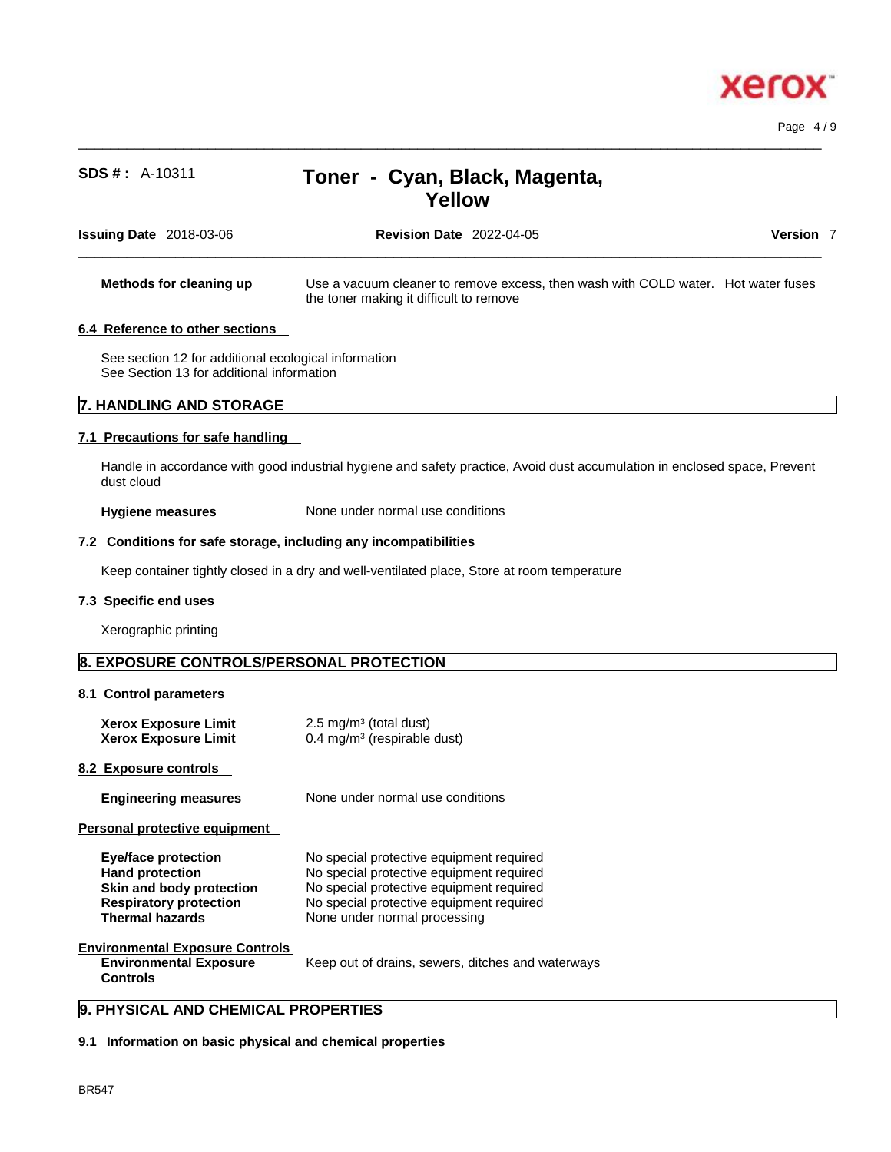

Page 4 / 9

# **SDS # :** A-10311 **Toner - Cyan, Black, Magenta, Yellow**

 $\_$  ,  $\_$  ,  $\_$  ,  $\_$  ,  $\_$  ,  $\_$  ,  $\_$  ,  $\_$  ,  $\_$  ,  $\_$  ,  $\_$  ,  $\_$  ,  $\_$  ,  $\_$  ,  $\_$  ,  $\_$  ,  $\_$  ,  $\_$  ,  $\_$  ,  $\_$  ,  $\_$  ,  $\_$  ,  $\_$  ,  $\_$  ,  $\_$  ,  $\_$  ,  $\_$  ,  $\_$  ,  $\_$  ,  $\_$  ,  $\_$  ,  $\_$  ,  $\_$  ,  $\_$  ,  $\_$  ,  $\_$  ,  $\_$  ,

| <b>Issuing Date</b> 2018-03-06                   |                                                                                                   | Version 7<br><b>Revision Date 2022-04-05</b>                                                                                                                                                                 |
|--------------------------------------------------|---------------------------------------------------------------------------------------------------|--------------------------------------------------------------------------------------------------------------------------------------------------------------------------------------------------------------|
|                                                  | Methods for cleaning up                                                                           | Use a vacuum cleaner to remove excess, then wash with COLD water. Hot water fuses<br>the toner making it difficult to remove                                                                                 |
|                                                  | 6.4 Reference to other sections                                                                   |                                                                                                                                                                                                              |
|                                                  | See section 12 for additional ecological information<br>See Section 13 for additional information |                                                                                                                                                                                                              |
|                                                  | 7. HANDLING AND STORAGE                                                                           |                                                                                                                                                                                                              |
|                                                  | 7.1 Precautions for safe handling                                                                 |                                                                                                                                                                                                              |
| dust cloud                                       |                                                                                                   | Handle in accordance with good industrial hygiene and safety practice, Avoid dust accumulation in enclosed space, Prevent                                                                                    |
|                                                  | Hygiene measures                                                                                  | None under normal use conditions                                                                                                                                                                             |
|                                                  |                                                                                                   | 7.2 Conditions for safe storage, including any incompatibilities                                                                                                                                             |
|                                                  |                                                                                                   | Keep container tightly closed in a dry and well-ventilated place, Store at room temperature                                                                                                                  |
| 7.3 Specific end uses                            |                                                                                                   |                                                                                                                                                                                                              |
|                                                  | Xerographic printing                                                                              |                                                                                                                                                                                                              |
|                                                  |                                                                                                   | 8. EXPOSURE CONTROLS/PERSONAL PROTECTION                                                                                                                                                                     |
|                                                  | 8.1 Control parameters                                                                            |                                                                                                                                                                                                              |
|                                                  | <b>Xerox Exposure Limit</b><br><b>Xerox Exposure Limit</b>                                        | 2.5 mg/m $3$ (total dust)<br>$0.4 \text{ mg/m}^3$ (respirable dust)                                                                                                                                          |
| 8.2 Exposure controls                            |                                                                                                   |                                                                                                                                                                                                              |
|                                                  | <b>Engineering measures</b>                                                                       | None under normal use conditions                                                                                                                                                                             |
|                                                  | Personal protective equipment                                                                     |                                                                                                                                                                                                              |
| <b>Hand protection</b><br><b>Thermal hazards</b> | <b>Eye/face protection</b><br>Skin and body protection<br><b>Respiratory protection</b>           | No special protective equipment required<br>No special protective equipment required<br>No special protective equipment required<br>No special protective equipment required<br>None under normal processing |
|                                                  | <b>Environmental Exposure Controls</b><br><b>Environmental Exposure</b>                           | Keep out of drains, sewers, ditches and waterways                                                                                                                                                            |

# **9. PHYSICAL AND CHEMICAL PROPERTIES**

## **9.1 Information on basic physical and chemical properties**

**Controls**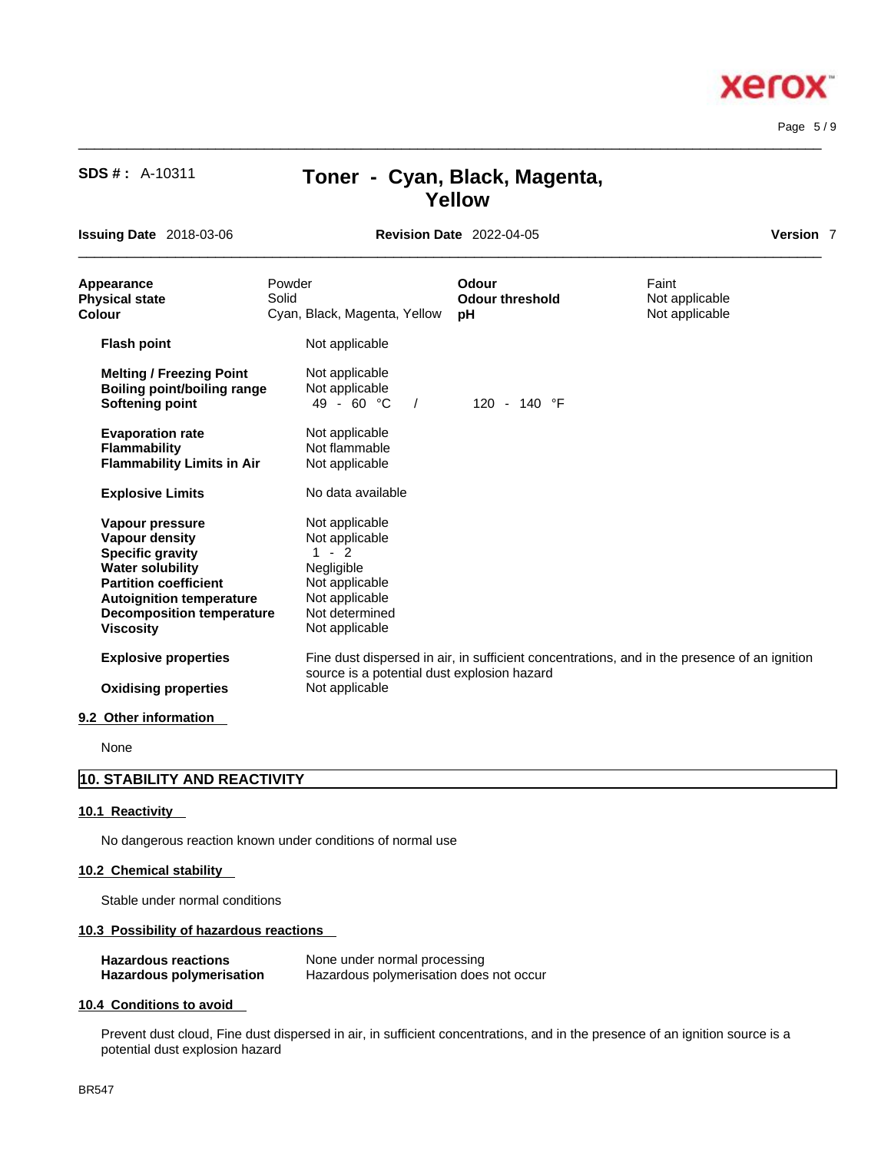# **SDS # :** A-10311 **Toner - Cyan, Black, Magenta, Yellow**

 $\_$  ,  $\_$  ,  $\_$  ,  $\_$  ,  $\_$  ,  $\_$  ,  $\_$  ,  $\_$  ,  $\_$  ,  $\_$  ,  $\_$  ,  $\_$  ,  $\_$  ,  $\_$  ,  $\_$  ,  $\_$  ,  $\_$  ,  $\_$  ,  $\_$  ,  $\_$  ,  $\_$  ,  $\_$  ,  $\_$  ,  $\_$  ,  $\_$  ,  $\_$  ,  $\_$  ,  $\_$  ,  $\_$  ,  $\_$  ,  $\_$  ,  $\_$  ,  $\_$  ,  $\_$  ,  $\_$  ,  $\_$  ,  $\_$  ,

**Issuing Date** 2018-03-06 **Revision Date** 2022-04-05

 $\_$  ,  $\_$  ,  $\_$  ,  $\_$  ,  $\_$  ,  $\_$  ,  $\_$  ,  $\_$  ,  $\_$  ,  $\_$  ,  $\_$  ,  $\_$  ,  $\_$  ,  $\_$  ,  $\_$  ,  $\_$  ,  $\_$  ,  $\_$  ,  $\_$  ,  $\_$  ,  $\_$  ,  $\_$  ,  $\_$  ,  $\_$  ,  $\_$  ,  $\_$  ,  $\_$  ,  $\_$  ,  $\_$  ,  $\_$  ,  $\_$  ,  $\_$  ,  $\_$  ,  $\_$  ,  $\_$  ,  $\_$  ,  $\_$  ,

| Version |  |
|---------|--|
|         |  |

Page 5 / 9

| Appearance<br><b>Physical state</b><br><b>Colour</b>                                                                                                                                                                      | Powder<br>Solid<br>Cyan, Black, Magenta, Yellow                                                                                   | Odour<br><b>Odour threshold</b><br>рH | Faint<br>Not applicable<br>Not applicable                                                    |  |
|---------------------------------------------------------------------------------------------------------------------------------------------------------------------------------------------------------------------------|-----------------------------------------------------------------------------------------------------------------------------------|---------------------------------------|----------------------------------------------------------------------------------------------|--|
| <b>Flash point</b>                                                                                                                                                                                                        | Not applicable                                                                                                                    |                                       |                                                                                              |  |
| <b>Melting / Freezing Point</b><br>Boiling point/boiling range<br>Softening point                                                                                                                                         | Not applicable<br>Not applicable<br>$49 - 60 °C$<br>$\frac{1}{2}$                                                                 | 120 - 140 °F                          |                                                                                              |  |
| <b>Evaporation rate</b><br><b>Flammability</b><br><b>Flammability Limits in Air</b>                                                                                                                                       | Not applicable<br>Not flammable<br>Not applicable                                                                                 |                                       |                                                                                              |  |
| <b>Explosive Limits</b>                                                                                                                                                                                                   | No data available                                                                                                                 |                                       |                                                                                              |  |
| Vapour pressure<br><b>Vapour density</b><br><b>Specific gravity</b><br><b>Water solubility</b><br><b>Partition coefficient</b><br><b>Autoignition temperature</b><br><b>Decomposition temperature</b><br><b>Viscosity</b> | Not applicable<br>Not applicable<br>$1 - 2$<br>Negligible<br>Not applicable<br>Not applicable<br>Not determined<br>Not applicable |                                       |                                                                                              |  |
| <b>Explosive properties</b>                                                                                                                                                                                               | source is a potential dust explosion hazard                                                                                       |                                       | Fine dust dispersed in air, in sufficient concentrations, and in the presence of an ignition |  |
| <b>Oxidising properties</b><br>9.2 Other information                                                                                                                                                                      | Not applicable                                                                                                                    |                                       |                                                                                              |  |

None

# **10. STABILITY AND REACTIVITY**

## **10.1 Reactivity**

No dangerous reaction known under conditions of normal use

## **10.2 Chemical stability**

Stable under normal conditions

## **10.3 Possibility of hazardous reactions**

| <b>Hazardous reactions</b>      | None under normal processing            |
|---------------------------------|-----------------------------------------|
| <b>Hazardous polymerisation</b> | Hazardous polymerisation does not occur |

#### **10.4 Conditions to avoid**

Prevent dust cloud, Fine dust dispersed in air, in sufficient concentrations, and in the presence of an ignition source is a potential dust explosion hazard

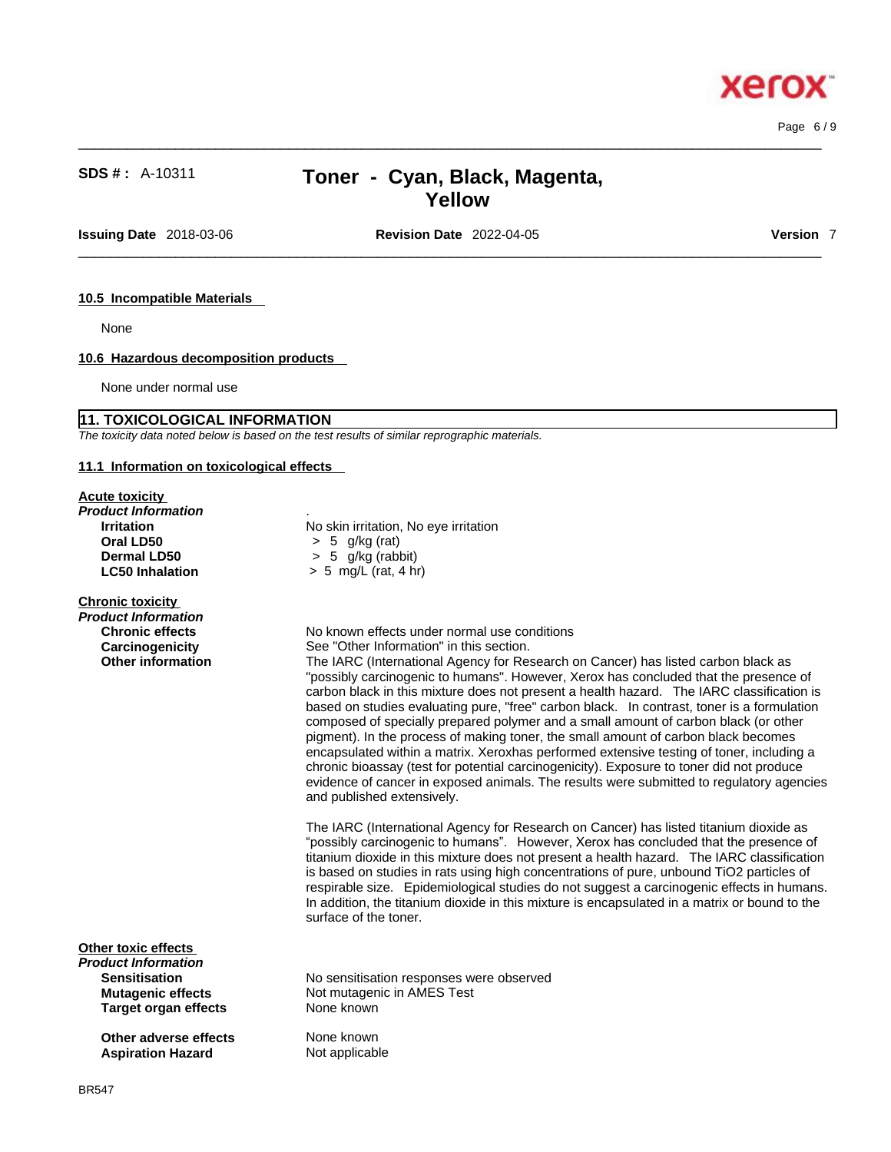# **SDS # :** A-10311 **Toner - Cyan, Black, Magenta, Yellow**

 $\_$  ,  $\_$  ,  $\_$  ,  $\_$  ,  $\_$  ,  $\_$  ,  $\_$  ,  $\_$  ,  $\_$  ,  $\_$  ,  $\_$  ,  $\_$  ,  $\_$  ,  $\_$  ,  $\_$  ,  $\_$  ,  $\_$  ,  $\_$  ,  $\_$  ,  $\_$  ,  $\_$  ,  $\_$  ,  $\_$  ,  $\_$  ,  $\_$  ,  $\_$  ,  $\_$  ,  $\_$  ,  $\_$  ,  $\_$  ,  $\_$  ,  $\_$  ,  $\_$  ,  $\_$  ,  $\_$  ,  $\_$  ,  $\_$  ,

**Issuing Date** 2018-03-06 **Revision Date** 2022-04-05 **Version** 7

 $\_$  ,  $\_$  ,  $\_$  ,  $\_$  ,  $\_$  ,  $\_$  ,  $\_$  ,  $\_$  ,  $\_$  ,  $\_$  ,  $\_$  ,  $\_$  ,  $\_$  ,  $\_$  ,  $\_$  ,  $\_$  ,  $\_$  ,  $\_$  ,  $\_$  ,  $\_$  ,  $\_$  ,  $\_$  ,  $\_$  ,  $\_$  ,  $\_$  ,  $\_$  ,  $\_$  ,  $\_$  ,  $\_$  ,  $\_$  ,  $\_$  ,  $\_$  ,  $\_$  ,  $\_$  ,  $\_$  ,  $\_$  ,  $\_$  ,

Page 6 / 9

#### **10.5 Incompatible Materials**

None

# **10.6 Hazardous decomposition products**

None under normal use

#### **11. TOXICOLOGICAL INFORMATION**

*The toxicity data noted below is based on the test results of similar reprographic materials.* 

## **11.1 Information on toxicological effects**

# **Acute toxicity**

| Product Information<br><b>Irritation</b><br>Oral LD50<br><b>Dermal LD50</b><br><b>LC50 Inhalation</b>                         | No skin irritation, No eye irritation<br>$> 5$ g/kg (rat)<br>$> 5$ g/kg (rabbit)<br>$> 5$ mg/L (rat, 4 hr)                                                                                                                                                                                                                                                                                                                                                                                                                                                                                                                                                                                                                                                                     |
|-------------------------------------------------------------------------------------------------------------------------------|--------------------------------------------------------------------------------------------------------------------------------------------------------------------------------------------------------------------------------------------------------------------------------------------------------------------------------------------------------------------------------------------------------------------------------------------------------------------------------------------------------------------------------------------------------------------------------------------------------------------------------------------------------------------------------------------------------------------------------------------------------------------------------|
| <b>Chronic toxicity</b><br>Product Information<br><b>Chronic effects</b><br>Carcinogenicity<br><b>Other information</b>       | No known effects under normal use conditions<br>See "Other Information" in this section.<br>The IARC (International Agency for Research on Cancer) has listed<br>"possibly carcinogenic to humans". However, Xerox has concluded t<br>carbon black in this mixture does not present a health hazard. The<br>based on studies evaluating pure, "free" carbon black. In contrast,<br>composed of specially prepared polymer and a small amount of carb<br>pigment). In the process of making toner, the small amount of carbo<br>encapsulated within a matrix. Xeroxhas performed extensive testing<br>chronic bioassay (test for potential carcinogenicity). Exposure to ton<br>evidence of cancer in exposed animals. The results were submitted<br>and published extensively. |
|                                                                                                                               | The IARC (International Agency for Research on Cancer) has listed<br>"possibly carcinogenic to humans". However, Xerox has concluded<br>titanium dioxide in this mixture does not present a health hazard. T<br>is based on studies in rats using high concentrations of pure, unbout<br>respirable size. Epidemiological studies do not suggest a carcinoge<br>In addition, the titanium dioxide in this mixture is encapsulated in a n<br>surface of the toner.                                                                                                                                                                                                                                                                                                              |
| Other toxic effects<br>Product Information<br><b>Sensitisation</b><br><b>Mutagenic effects</b><br><b>Target organ effects</b> | No sensitisation responses were observed<br>Not mutagenic in AMES Test<br>None known                                                                                                                                                                                                                                                                                                                                                                                                                                                                                                                                                                                                                                                                                           |
|                                                                                                                               |                                                                                                                                                                                                                                                                                                                                                                                                                                                                                                                                                                                                                                                                                                                                                                                |

**Other adverse effects** None known **Aspiration Hazard** Not applicable

**as listed carbon black as** ncluded that the presence of rd. The IARC classification is ontrast, toner is a formulation nt of carbon black (or other of carbon black becomes e testing of toner, including a re to toner did not produce ubmitted to regulatory agencies

as listed titanium dioxide as oncluded that the presence of izard. The IARC classification e, unbound TiO2 particles of rarcinogenic effects in humans. ted in a matrix or bound to the

# xero: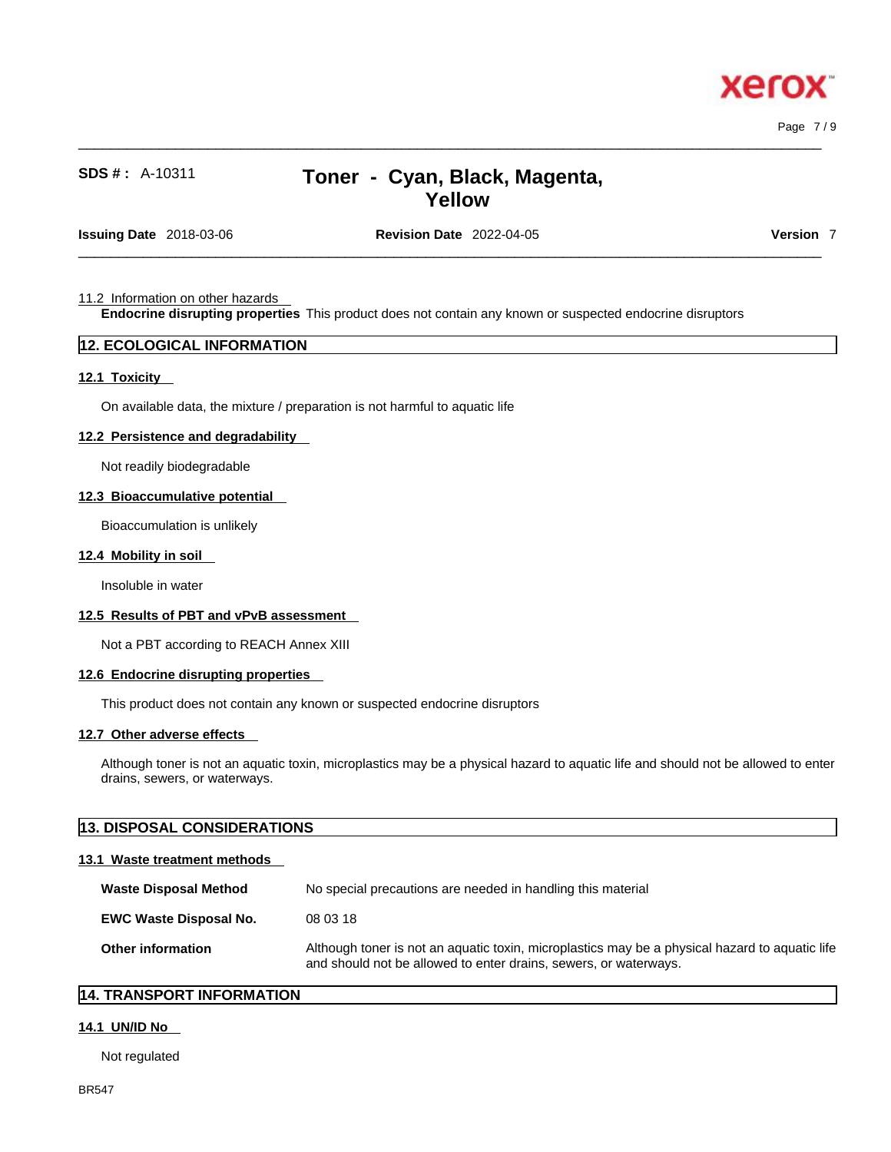

Page 7 / 9

# **SDS # :** A-10311 **Toner - Cyan, Black, Magenta, Yellow**

 $\_$  ,  $\_$  ,  $\_$  ,  $\_$  ,  $\_$  ,  $\_$  ,  $\_$  ,  $\_$  ,  $\_$  ,  $\_$  ,  $\_$  ,  $\_$  ,  $\_$  ,  $\_$  ,  $\_$  ,  $\_$  ,  $\_$  ,  $\_$  ,  $\_$  ,  $\_$  ,  $\_$  ,  $\_$  ,  $\_$  ,  $\_$  ,  $\_$  ,  $\_$  ,  $\_$  ,  $\_$  ,  $\_$  ,  $\_$  ,  $\_$  ,  $\_$  ,  $\_$  ,  $\_$  ,  $\_$  ,  $\_$  ,  $\_$  ,

**Issuing Date** 2018-03-06 **Revision Date** 2022-04-05 **Version** 7

 $\_$  ,  $\_$  ,  $\_$  ,  $\_$  ,  $\_$  ,  $\_$  ,  $\_$  ,  $\_$  ,  $\_$  ,  $\_$  ,  $\_$  ,  $\_$  ,  $\_$  ,  $\_$  ,  $\_$  ,  $\_$  ,  $\_$  ,  $\_$  ,  $\_$  ,  $\_$  ,  $\_$  ,  $\_$  ,  $\_$  ,  $\_$  ,  $\_$  ,  $\_$  ,  $\_$  ,  $\_$  ,  $\_$  ,  $\_$  ,  $\_$  ,  $\_$  ,  $\_$  ,  $\_$  ,  $\_$  ,  $\_$  ,  $\_$  ,

#### 11.2 Information on other hazards

**Endocrine disrupting properties** This product does not contain any known or suspected endocrine disruptors

## **12. ECOLOGICAL INFORMATION**

#### **12.1 Toxicity**

On available data, the mixture / preparation is not harmful to aquatic life

#### **12.2 Persistence and degradability**

Not readily biodegradable

#### **12.3 Bioaccumulative potential**

Bioaccumulation is unlikely

#### **12.4 Mobility in soil**

Insoluble in water

## **12.5 Results of PBT and vPvB assessment**

Not a PBT according to REACH Annex XIII

#### **12.6 Endocrine disrupting properties**

This product does not contain any known or suspected endocrine disruptors

#### **12.7 Other adverse effects**

Although toner is not an aquatic toxin, microplastics may be a physical hazard to aquatic life and should not be allowed to enter drains, sewers, or waterways.

| <b>13. DISPOSAL CONSIDERATIONS</b> |                                                                                                                                                                    |
|------------------------------------|--------------------------------------------------------------------------------------------------------------------------------------------------------------------|
| 13.1 Waste treatment methods       |                                                                                                                                                                    |
| <b>Waste Disposal Method</b>       | No special precautions are needed in handling this material                                                                                                        |
| <b>EWC Waste Disposal No.</b>      | 08 03 18                                                                                                                                                           |
| Other information                  | Although toner is not an aquatic toxin, microplastics may be a physical hazard to aquatic life<br>and should not be allowed to enter drains, sewers, or waterways. |

# **14. TRANSPORT INFORMATION**

#### **14.1 UN/ID No**

Not regulated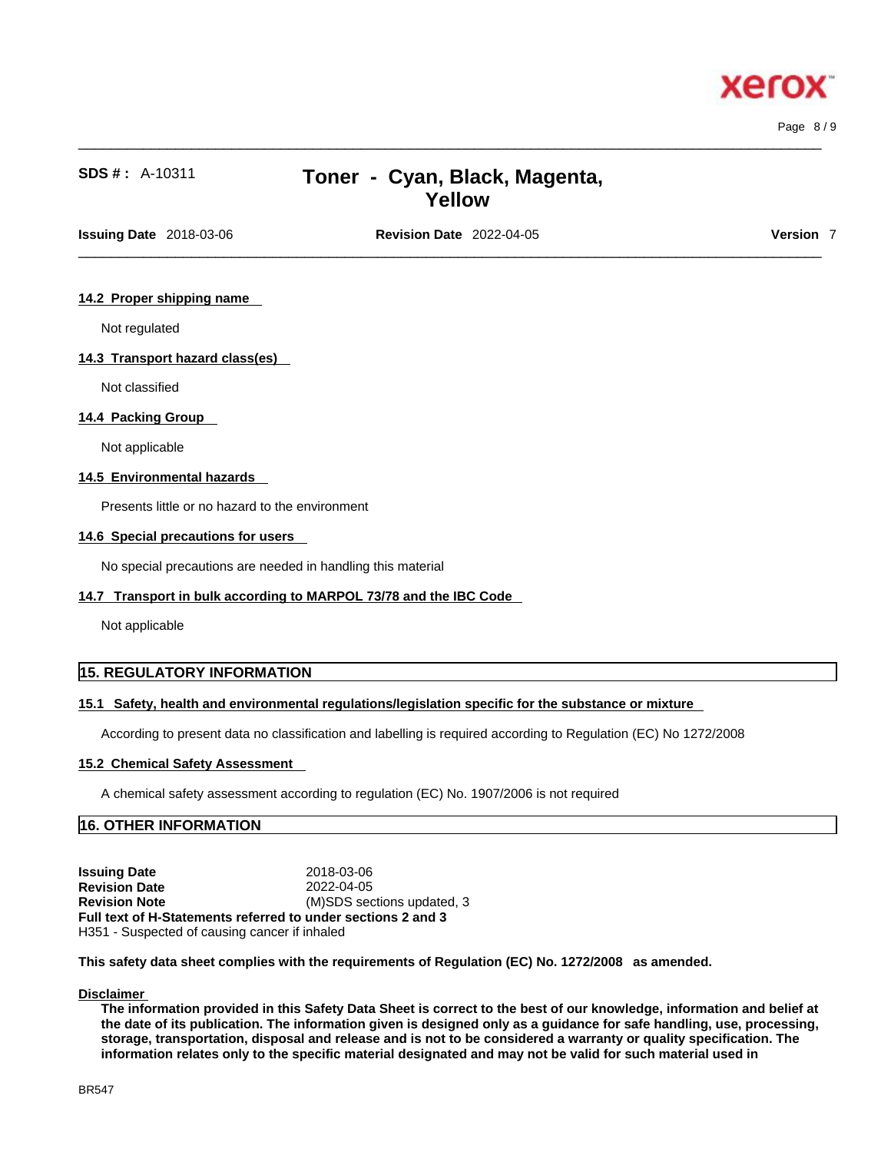

Page 8 / 9

# **SDS # :** A-10311 **Toner - Cyan, Black, Magenta, Yellow**

 $\_$  ,  $\_$  ,  $\_$  ,  $\_$  ,  $\_$  ,  $\_$  ,  $\_$  ,  $\_$  ,  $\_$  ,  $\_$  ,  $\_$  ,  $\_$  ,  $\_$  ,  $\_$  ,  $\_$  ,  $\_$  ,  $\_$  ,  $\_$  ,  $\_$  ,  $\_$  ,  $\_$  ,  $\_$  ,  $\_$  ,  $\_$  ,  $\_$  ,  $\_$  ,  $\_$  ,  $\_$  ,  $\_$  ,  $\_$  ,  $\_$  ,  $\_$  ,  $\_$  ,  $\_$  ,  $\_$  ,  $\_$  ,  $\_$  ,

 $\_$  ,  $\_$  ,  $\_$  ,  $\_$  ,  $\_$  ,  $\_$  ,  $\_$  ,  $\_$  ,  $\_$  ,  $\_$  ,  $\_$  ,  $\_$  ,  $\_$  ,  $\_$  ,  $\_$  ,  $\_$  ,  $\_$  ,  $\_$  ,  $\_$  ,  $\_$  ,  $\_$  ,  $\_$  ,  $\_$  ,  $\_$  ,  $\_$  ,  $\_$  ,  $\_$  ,  $\_$  ,  $\_$  ,  $\_$  ,  $\_$  ,  $\_$  ,  $\_$  ,  $\_$  ,  $\_$  ,  $\_$  ,  $\_$  , **Issuing Date** 2018-03-06 **Revision Date** 2022-04-05 **Version** 7

#### **14.2 Proper shipping name**

Not regulated

#### **14.3 Transport hazard class(es)**

Not classified

#### **14.4 Packing Group**

Not applicable

#### **14.5 Environmental hazards**

Presents little or no hazard to the environment

#### **14.6 Special precautions for users**

No special precautions are needed in handling this material

#### **14.7 Transport in bulk according to MARPOL 73/78 and the IBC Code**

Not applicable

# **15. REGULATORY INFORMATION**

### **15.1 Safety, health and environmental regulations/legislation specific for the substance or mixture**

According to present data no classification and labelling is required according to Regulation (EC) No 1272/2008

#### **15.2 Chemical Safety Assessment**

A chemical safety assessment according to regulation (EC) No. 1907/2006 isnot required

# **16. OTHER INFORMATION**

**Issuing Date** 2018-03-06 **Revision Date** 2022-04-05 **Revision Note** (M)SDS sections updated, 3 **Full text of H-Statements referred to undersections 2 and 3** H351 - Suspected of causing cancer if inhaled

**This safety data sheet complies with the requirements of Regulation (EC) No. 1272/2008 as amended.**

#### **Disclaimer**

The information provided in this Safety Data Sheet is correct to the best of our knowledge, information and belief at the date of its publication. The information given is designed only as a guidance for safe handling, use, processing, storage, transportation, disposal and release and is not to be considered a warranty or quality specification. The information relates only to the specific material designated and may not be valid for such material used in